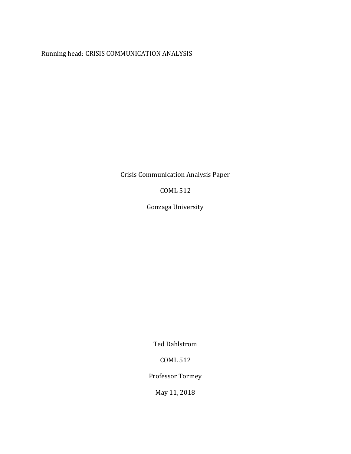Running head: CRISIS COMMUNICATION ANALYSIS

Crisis Communication Analysis Paper

COML 512

Gonzaga University

Ted Dahlstrom

COML 512

Professor Tormey

May 11, 2018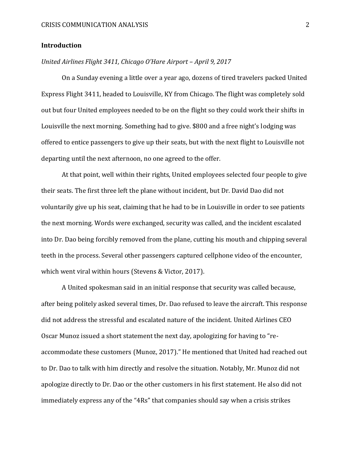# **Introduction**

# *United Airlines Flight 3411, Chicago O'Hare Airport – April 9, 2017*

On a Sunday evening a little over a year ago, dozens of tired travelers packed United Express Flight 3411, headed to Louisville, KY from Chicago. The flight was completely sold out but four United employees needed to be on the flight so they could work their shifts in Louisville the next morning. Something had to give. \$800 and a free night's lodging was offered to entice passengers to give up their seats, but with the next flight to Louisville not departing until the next afternoon, no one agreed to the offer.

At that point, well within their rights, United employees selected four people to give their seats. The first three left the plane without incident, but Dr. David Dao did not voluntarily give up his seat, claiming that he had to be in Louisville in order to see patients the next morning. Words were exchanged, security was called, and the incident escalated into Dr. Dao being forcibly removed from the plane, cutting his mouth and chipping several teeth in the process. Several other passengers captured cellphone video of the encounter, which went viral within hours (Stevens & Victor, 2017).

A United spokesman said in an initial response that security was called because, after being politely asked several times, Dr. Dao refused to leave the aircraft. This response did not address the stressful and escalated nature of the incident. United Airlines CEO Oscar Munoz issued a short statement the next day, apologizing for having to "reaccommodate these customers (Munoz, 2017)." He mentioned that United had reached out to Dr. Dao to talk with him directly and resolve the situation. Notably, Mr. Munoz did not apologize directly to Dr. Dao or the other customers in his first statement. He also did not immediately express any of the "4Rs" that companies should say when a crisis strikes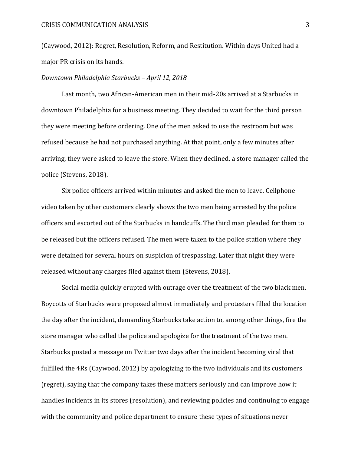### CRISIS COMMUNICATION ANALYSIS 3

(Caywood, 2012): Regret, Resolution, Reform, and Restitution. Within days United had a major PR crisis on its hands.

### *Downtown Philadelphia Starbucks – April 12, 2018*

Last month, two African-American men in their mid-20s arrived at a Starbucks in downtown Philadelphia for a business meeting. They decided to wait for the third person they were meeting before ordering. One of the men asked to use the restroom but was refused because he had not purchased anything. At that point, only a few minutes after arriving, they were asked to leave the store. When they declined, a store manager called the police (Stevens, 2018).

Six police officers arrived within minutes and asked the men to leave. Cellphone video taken by other customers clearly shows the two men being arrested by the police officers and escorted out of the Starbucks in handcuffs. The third man pleaded for them to be released but the officers refused. The men were taken to the police station where they were detained for several hours on suspicion of trespassing. Later that night they were released without any charges filed against them (Stevens, 2018).

Social media quickly erupted with outrage over the treatment of the two black men. Boycotts of Starbucks were proposed almost immediately and protesters filled the location the day after the incident, demanding Starbucks take action to, among other things, fire the store manager who called the police and apologize for the treatment of the two men. Starbucks posted a message on Twitter two days after the incident becoming viral that fulfilled the 4Rs (Caywood, 2012) by apologizing to the two individuals and its customers (regret), saying that the company takes these matters seriously and can improve how it handles incidents in its stores (resolution), and reviewing policies and continuing to engage with the community and police department to ensure these types of situations never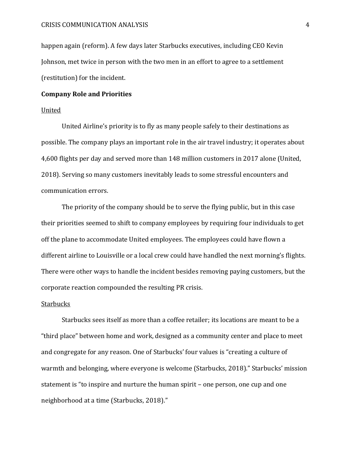happen again (reform). A few days later Starbucks executives, including CEO Kevin Johnson, met twice in person with the two men in an effort to agree to a settlement (restitution) for the incident.

## **Company Role and Priorities**

## United

United Airline's priority is to fly as many people safely to their destinations as possible. The company plays an important role in the air travel industry; it operates about 4,600 flights per day and served more than 148 million customers in 2017 alone (United, 2018). Serving so many customers inevitably leads to some stressful encounters and communication errors.

The priority of the company should be to serve the flying public, but in this case their priorities seemed to shift to company employees by requiring four individuals to get off the plane to accommodate United employees. The employees could have flown a different airline to Louisville or a local crew could have handled the next morning's flights. There were other ways to handle the incident besides removing paying customers, but the corporate reaction compounded the resulting PR crisis.

# **Starbucks**

Starbucks sees itself as more than a coffee retailer; its locations are meant to be a "third place" between home and work, designed as a community center and place to meet and congregate for any reason. One of Starbucks' four values is "creating a culture of warmth and belonging, where everyone is welcome (Starbucks, 2018)." Starbucks' mission statement is "to inspire and nurture the human spirit – one person, one cup and one neighborhood at a time (Starbucks, 2018)."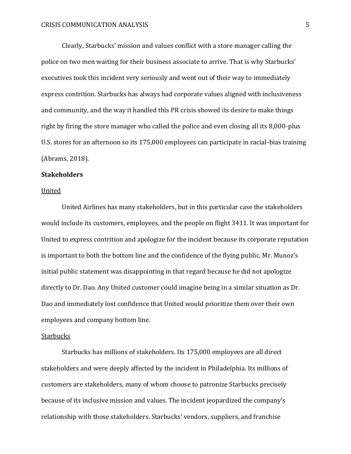Clearly, Starbucks' mission and values conflict with a store manager calling the police on two men waiting for their business associate to arrive. That is why Starbucks' executives took this incident very seriously and went out of their way to immediately express contrition. Starbucks has always had corporate values aligned with inclusiveness and community, and the way it handled this PR crisis showed its desire to make things right by firing the store manager who called the police and even closing all its 8,000-plus U.S. stores for an afternoon so its 175,000 employees can participate in racial-bias training (Abrams, 2018).

### **Stakeholders**

#### United

United Airlines has many stakeholders, but in this particular case the stakeholders would include its customers, employees, and the people on flight 3411. It was important for United to express contrition and apologize for the incident because its corporate reputation is important to both the bottom line and the confidence of the flying public. Mr. Munoz's initial public statement was disappointing in that regard because he did not apologize directly to Dr. Dao. Any United customer could imagine being in a similar situation as Dr. Dao and immediately lost confidence that United would prioritize them over their own employees and company bottom line.

### **Starbucks**

Starbucks has millions of stakeholders. Its 175,000 employees are all direct stakeholders and were deeply affected by the incident in Philadelphia. Its millions of customers are stakeholders, many of whom choose to patronize Starbucks precisely because of its inclusive mission and values. The incident jeopardized the company's relationship with those stakeholders. Starbucks' vendors, suppliers, and franchise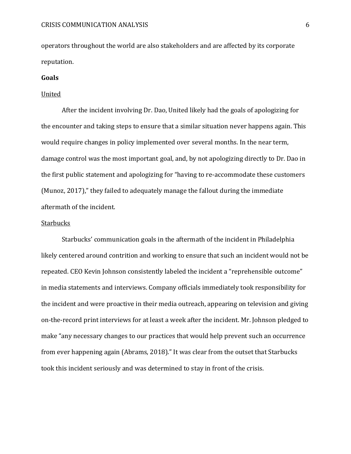operators throughout the world are also stakeholders and are affected by its corporate reputation.

## **Goals**

### United

After the incident involving Dr. Dao, United likely had the goals of apologizing for the encounter and taking steps to ensure that a similar situation never happens again. This would require changes in policy implemented over several months. In the near term, damage control was the most important goal, and, by not apologizing directly to Dr. Dao in the first public statement and apologizing for "having to re-accommodate these customers (Munoz, 2017)," they failed to adequately manage the fallout during the immediate aftermath of the incident.

### **Starbucks**

Starbucks' communication goals in the aftermath of the incident in Philadelphia likely centered around contrition and working to ensure that such an incident would not be repeated. CEO Kevin Johnson consistently labeled the incident a "reprehensible outcome" in media statements and interviews. Company officials immediately took responsibility for the incident and were proactive in their media outreach, appearing on television and giving on-the-record print interviews for at least a week after the incident. Mr. Johnson pledged to make "any necessary changes to our practices that would help prevent such an occurrence from ever happening again (Abrams, 2018)." It was clear from the outset that Starbucks took this incident seriously and was determined to stay in front of the crisis.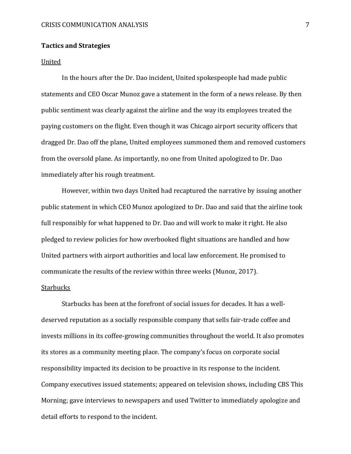## **Tactics and Strategies**

#### United

In the hours after the Dr. Dao incident, United spokespeople had made public statements and CEO Oscar Munoz gave a statement in the form of a news release. By then public sentiment was clearly against the airline and the way its employees treated the paying customers on the flight. Even though it was Chicago airport security officers that dragged Dr. Dao off the plane, United employees summoned them and removed customers from the oversold plane. As importantly, no one from United apologized to Dr. Dao immediately after his rough treatment.

However, within two days United had recaptured the narrative by issuing another public statement in which CEO Munoz apologized to Dr. Dao and said that the airline took full responsibly for what happened to Dr. Dao and will work to make it right. He also pledged to review policies for how overbooked flight situations are handled and how United partners with airport authorities and local law enforcement. He promised to communicate the results of the review within three weeks (Munoz, 2017).

## Starbucks

Starbucks has been at the forefront of social issues for decades. It has a welldeserved reputation as a socially responsible company that sells fair-trade coffee and invests millions in its coffee-growing communities throughout the world. It also promotes its stores as a community meeting place. The company's focus on corporate social responsibility impacted its decision to be proactive in its response to the incident. Company executives issued statements; appeared on television shows, including CBS This Morning; gave interviews to newspapers and used Twitter to immediately apologize and detail efforts to respond to the incident.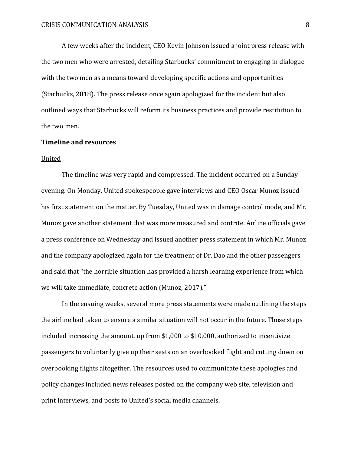A few weeks after the incident, CEO Kevin Johnson issued a joint press release with the two men who were arrested, detailing Starbucks' commitment to engaging in dialogue with the two men as a means toward developing specific actions and opportunities (Starbucks, 2018). The press release once again apologized for the incident but also outlined ways that Starbucks will reform its business practices and provide restitution to the two men.

## **Timeline and resources**

### United

The timeline was very rapid and compressed. The incident occurred on a Sunday evening. On Monday, United spokespeople gave interviews and CEO Oscar Munoz issued his first statement on the matter. By Tuesday, United was in damage control mode, and Mr. Munoz gave another statement that was more measured and contrite. Airline officials gave a press conference on Wednesday and issued another press statement in which Mr. Munoz and the company apologized again for the treatment of Dr. Dao and the other passengers and said that "the horrible situation has provided a harsh learning experience from which we will take immediate, concrete action (Munoz, 2017)."

In the ensuing weeks, several more press statements were made outlining the steps the airline had taken to ensure a similar situation will not occur in the future. Those steps included increasing the amount, up from \$1,000 to \$10,000, authorized to incentivize passengers to voluntarily give up their seats on an overbooked flight and cutting down on overbooking flights altogether. The resources used to communicate these apologies and policy changes included news releases posted on the company web site, television and print interviews, and posts to United's social media channels.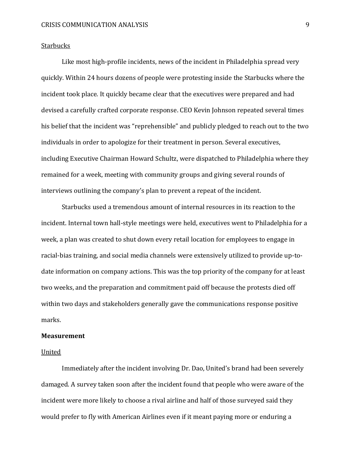### **Starbucks**

Like most high-profile incidents, news of the incident in Philadelphia spread very quickly. Within 24 hours dozens of people were protesting inside the Starbucks where the incident took place. It quickly became clear that the executives were prepared and had devised a carefully crafted corporate response. CEO Kevin Johnson repeated several times his belief that the incident was "reprehensible" and publicly pledged to reach out to the two individuals in order to apologize for their treatment in person. Several executives, including Executive Chairman Howard Schultz, were dispatched to Philadelphia where they remained for a week, meeting with community groups and giving several rounds of interviews outlining the company's plan to prevent a repeat of the incident.

Starbucks used a tremendous amount of internal resources in its reaction to the incident. Internal town hall-style meetings were held, executives went to Philadelphia for a week, a plan was created to shut down every retail location for employees to engage in racial-bias training, and social media channels were extensively utilized to provide up-todate information on company actions. This was the top priority of the company for at least two weeks, and the preparation and commitment paid off because the protests died off within two days and stakeholders generally gave the communications response positive marks.

### **Measurement**

#### United

Immediately after the incident involving Dr. Dao, United's brand had been severely damaged. A survey taken soon after the incident found that people who were aware of the incident were more likely to choose a rival airline and half of those surveyed said they would prefer to fly with American Airlines even if it meant paying more or enduring a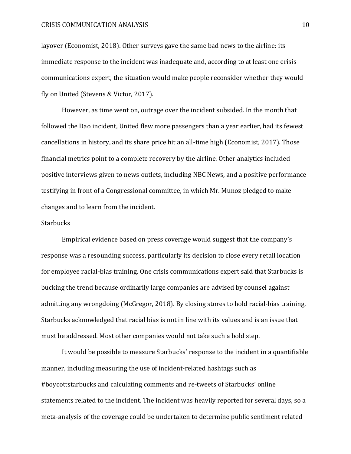layover (Economist, 2018). Other surveys gave the same bad news to the airline: its immediate response to the incident was inadequate and, according to at least one crisis communications expert, the situation would make people reconsider whether they would fly on United (Stevens & Victor, 2017).

However, as time went on, outrage over the incident subsided. In the month that followed the Dao incident, United flew more passengers than a year earlier, had its fewest cancellations in history, and its share price hit an all-time high (Economist, 2017). Those financial metrics point to a complete recovery by the airline. Other analytics included positive interviews given to news outlets, including NBC News, and a positive performance testifying in front of a Congressional committee, in which Mr. Munoz pledged to make changes and to learn from the incident.

#### **Starbucks**

Empirical evidence based on press coverage would suggest that the company's response was a resounding success, particularly its decision to close every retail location for employee racial-bias training. One crisis communications expert said that Starbucks is bucking the trend because ordinarily large companies are advised by counsel against admitting any wrongdoing (McGregor, 2018). By closing stores to hold racial-bias training, Starbucks acknowledged that racial bias is not in line with its values and is an issue that must be addressed. Most other companies would not take such a bold step.

It would be possible to measure Starbucks' response to the incident in a quantifiable manner, including measuring the use of incident-related hashtags such as #boycottstarbucks and calculating comments and re-tweets of Starbucks' online statements related to the incident. The incident was heavily reported for several days, so a meta-analysis of the coverage could be undertaken to determine public sentiment related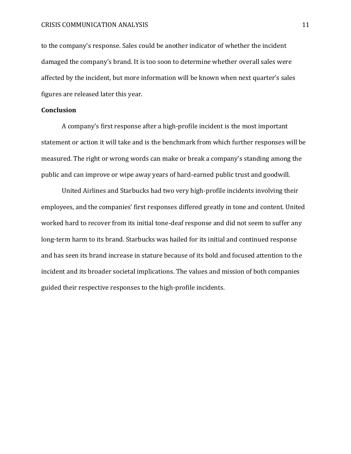### CRISIS COMMUNICATION ANALYSIS 11

to the company's response. Sales could be another indicator of whether the incident damaged the company's brand. It is too soon to determine whether overall sales were affected by the incident, but more information will be known when next quarter's sales figures are released later this year.

# **Conclusion**

A company's first response after a high-profile incident is the most important statement or action it will take and is the benchmark from which further responses will be measured. The right or wrong words can make or break a company's standing among the public and can improve or wipe away years of hard-earned public trust and goodwill.

United Airlines and Starbucks had two very high-profile incidents involving their employees, and the companies' first responses differed greatly in tone and content. United worked hard to recover from its initial tone-deaf response and did not seem to suffer any long-term harm to its brand. Starbucks was hailed for its initial and continued response and has seen its brand increase in stature because of its bold and focused attention to the incident and its broader societal implications. The values and mission of both companies guided their respective responses to the high-profile incidents.